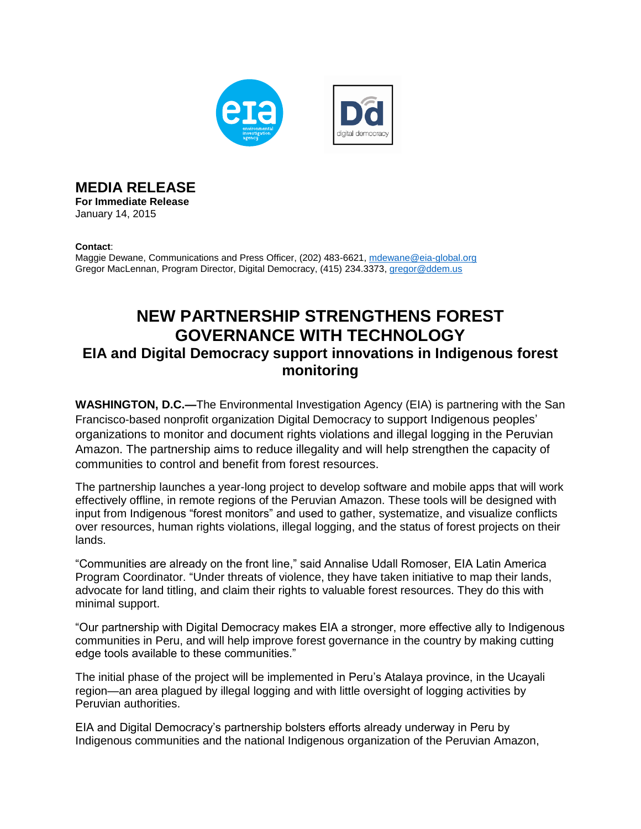

**MEDIA RELEASE**

**For Immediate Release**  January 14, 2015

## **Contact**:

Maggie Dewane, Communications and Press Officer, (202) 483-6621[, mdewane@eia-global.org](mailto:mdewane@eia-global.org) Gregor MacLennan, Program Director, Digital Democracy, (415) 234.3373, [gregor@ddem.us](mailto:gregor@ddem.us)

## **NEW PARTNERSHIP STRENGTHENS FOREST GOVERNANCE WITH TECHNOLOGY EIA and Digital Democracy support innovations in Indigenous forest monitoring**

**WASHINGTON, D.C.—**The Environmental Investigation Agency (EIA) is partnering with the San Francisco-based nonprofit organization Digital Democracy to support Indigenous peoples' organizations to monitor and document rights violations and illegal logging in the Peruvian Amazon. The partnership aims to reduce illegality and will help strengthen the capacity of communities to control and benefit from forest resources.

The partnership launches a year-long project to develop software and mobile apps that will work effectively offline, in remote regions of the Peruvian Amazon. These tools will be designed with input from Indigenous "forest monitors" and used to gather, systematize, and visualize conflicts over resources, human rights violations, illegal logging, and the status of forest projects on their lands.

"Communities are already on the front line," said Annalise Udall Romoser, EIA Latin America Program Coordinator. "Under threats of violence, they have taken initiative to map their lands, advocate for land titling, and claim their rights to valuable forest resources. They do this with minimal support.

"Our partnership with Digital Democracy makes EIA a stronger, more effective ally to Indigenous communities in Peru, and will help improve forest governance in the country by making cutting edge tools available to these communities."

The initial phase of the project will be implemented in Peru's Atalaya province, in the Ucayali region—an area plagued by illegal logging and with little oversight of logging activities by Peruvian authorities.

EIA and Digital Democracy's partnership bolsters efforts already underway in Peru by Indigenous communities and the national Indigenous organization of the Peruvian Amazon,